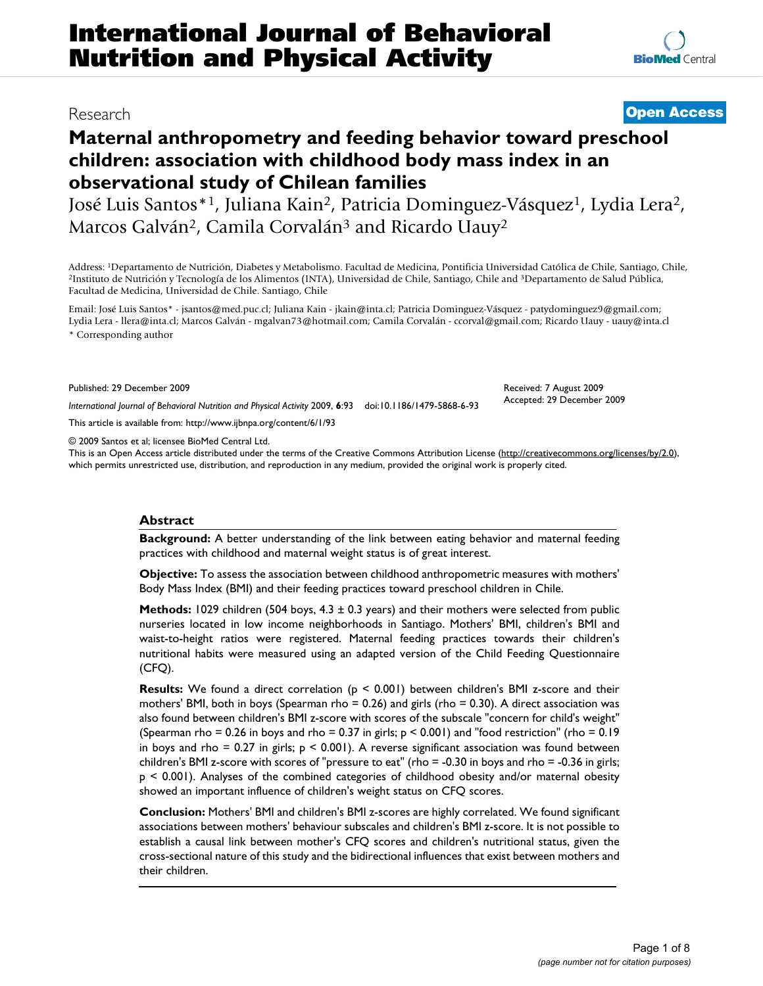## Research **[Open Access](http://www.biomedcentral.com/info/about/charter/)**

# **Maternal anthropometry and feeding behavior toward preschool children: association with childhood body mass index in an observational study of Chilean families**

José Luis Santos\*<sup>1</sup>, Juliana Kain<sup>2</sup>, Patricia Dominguez-Vásquez<sup>1</sup>, Lydia Lera<sup>2</sup>, Marcos Galván<sup>2</sup>, Camila Corvalán<sup>3</sup> and Ricardo Uauy<sup>2</sup>

Address: <sup>1</sup>Departamento de Nutrición, Diabetes y Metabolismo. Facultad de Medicina, Pontificia Universidad Católica de Chile, Santiago, Chile, Santiago, Chile, Santiago, Chile, Santiago, Chile, Santiago, Chile, Santiago, Facultad de Medicina, Universidad de Chile. Santiago, Chile

Email: José Luis Santos\* - jsantos@med.puc.cl; Juliana Kain - jkain@inta.cl; Patricia Dominguez-Vásquez - patydominguez9@gmail.com; Lydia Lera - llera@inta.cl; Marcos Galván - mgalvan73@hotmail.com; Camila Corvalán - ccorval@gmail.com; Ricardo Uauy - uauy@inta.cl \* Corresponding author

Published: 29 December 2009

*International Journal of Behavioral Nutrition and Physical Activity* 2009, **6**:93 doi:10.1186/1479-5868-6-93

[This article is available from: http://www.ijbnpa.org/content/6/1/93](http://www.ijbnpa.org/content/6/1/93)

© 2009 Santos et al; licensee BioMed Central Ltd.

This is an Open Access article distributed under the terms of the Creative Commons Attribution License [\(http://creativecommons.org/licenses/by/2.0\)](http://creativecommons.org/licenses/by/2.0), which permits unrestricted use, distribution, and reproduction in any medium, provided the original work is properly cited.

#### **Abstract**

**Background:** A better understanding of the link between eating behavior and maternal feeding practices with childhood and maternal weight status is of great interest.

**Objective:** To assess the association between childhood anthropometric measures with mothers' Body Mass Index (BMI) and their feeding practices toward preschool children in Chile.

**Methods:** 1029 children (504 boys, 4.3 ± 0.3 years) and their mothers were selected from public nurseries located in low income neighborhoods in Santiago. Mothers' BMI, children's BMI and waist-to-height ratios were registered. Maternal feeding practices towards their children's nutritional habits were measured using an adapted version of the Child Feeding Questionnaire (CFQ).

**Results:** We found a direct correlation (p < 0.001) between children's BMI z-score and their mothers' BMI, both in boys (Spearman rho = 0.26) and girls (rho = 0.30). A direct association was also found between children's BMI z-score with scores of the subscale "concern for child's weight" (Spearman rho = 0.26 in boys and rho = 0.37 in girls;  $p \le 0.001$ ) and "food restriction" (rho = 0.19 in boys and rho = 0.27 in girls;  $p < 0.001$ ). A reverse significant association was found between children's BMI z-score with scores of "pressure to eat" (rho = -0.30 in boys and rho = -0.36 in girls; p < 0.001). Analyses of the combined categories of childhood obesity and/or maternal obesity showed an important influence of children's weight status on CFQ scores.

**Conclusion:** Mothers' BMI and children's BMI z-scores are highly correlated. We found significant associations between mothers' behaviour subscales and children's BMI z-score. It is not possible to establish a causal link between mother's CFQ scores and children's nutritional status, given the cross-sectional nature of this study and the bidirectional influences that exist between mothers and their children.

Received: 7 August 2009 Accepted: 29 December 2009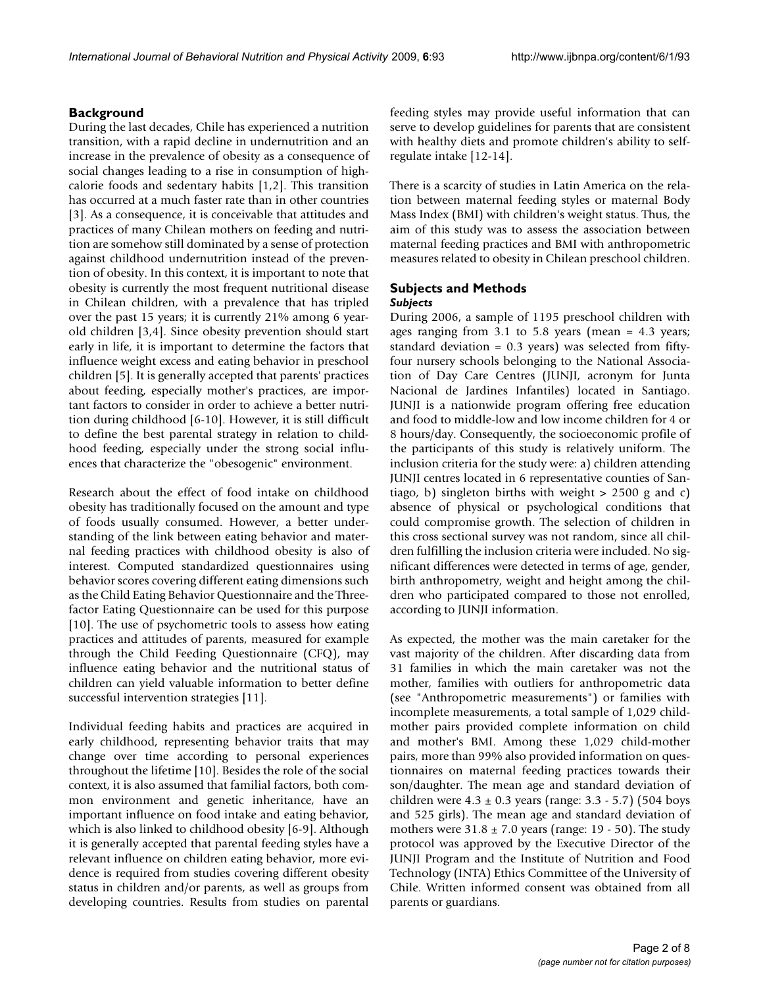## **Background**

During the last decades, Chile has experienced a nutrition transition, with a rapid decline in undernutrition and an increase in the prevalence of obesity as a consequence of social changes leading to a rise in consumption of highcalorie foods and sedentary habits [1,2]. This transition has occurred at a much faster rate than in other countries [3]. As a consequence, it is conceivable that attitudes and practices of many Chilean mothers on feeding and nutrition are somehow still dominated by a sense of protection against childhood undernutrition instead of the prevention of obesity. In this context, it is important to note that obesity is currently the most frequent nutritional disease in Chilean children, with a prevalence that has tripled over the past 15 years; it is currently 21% among 6 yearold children [3,4]. Since obesity prevention should start early in life, it is important to determine the factors that influence weight excess and eating behavior in preschool children [5]. It is generally accepted that parents' practices about feeding, especially mother's practices, are important factors to consider in order to achieve a better nutrition during childhood [6-10]. However, it is still difficult to define the best parental strategy in relation to childhood feeding, especially under the strong social influences that characterize the "obesogenic" environment.

Research about the effect of food intake on childhood obesity has traditionally focused on the amount and type of foods usually consumed. However, a better understanding of the link between eating behavior and maternal feeding practices with childhood obesity is also of interest. Computed standardized questionnaires using behavior scores covering different eating dimensions such as the Child Eating Behavior Questionnaire and the Threefactor Eating Questionnaire can be used for this purpose [10]. The use of psychometric tools to assess how eating practices and attitudes of parents, measured for example through the Child Feeding Questionnaire (CFQ), may influence eating behavior and the nutritional status of children can yield valuable information to better define successful intervention strategies [11].

Individual feeding habits and practices are acquired in early childhood, representing behavior traits that may change over time according to personal experiences throughout the lifetime [10]. Besides the role of the social context, it is also assumed that familial factors, both common environment and genetic inheritance, have an important influence on food intake and eating behavior, which is also linked to childhood obesity [6-9]. Although it is generally accepted that parental feeding styles have a relevant influence on children eating behavior, more evidence is required from studies covering different obesity status in children and/or parents, as well as groups from developing countries. Results from studies on parental

feeding styles may provide useful information that can serve to develop guidelines for parents that are consistent with healthy diets and promote children's ability to selfregulate intake [12-14].

There is a scarcity of studies in Latin America on the relation between maternal feeding styles or maternal Body Mass Index (BMI) with children's weight status. Thus, the aim of this study was to assess the association between maternal feeding practices and BMI with anthropometric measures related to obesity in Chilean preschool children.

## **Subjects and Methods**

## *Subjects*

During 2006, a sample of 1195 preschool children with ages ranging from 3.1 to 5.8 years (mean = 4.3 years; standard deviation = 0.3 years) was selected from fiftyfour nursery schools belonging to the National Association of Day Care Centres (JUNJI, acronym for Junta Nacional de Jardines Infantiles) located in Santiago. JUNJI is a nationwide program offering free education and food to middle-low and low income children for 4 or 8 hours/day. Consequently, the socioeconomic profile of the participants of this study is relatively uniform. The inclusion criteria for the study were: a) children attending JUNJI centres located in 6 representative counties of Santiago, b) singleton births with weight  $> 2500$  g and c) absence of physical or psychological conditions that could compromise growth. The selection of children in this cross sectional survey was not random, since all children fulfilling the inclusion criteria were included. No significant differences were detected in terms of age, gender, birth anthropometry, weight and height among the children who participated compared to those not enrolled, according to JUNJI information.

As expected, the mother was the main caretaker for the vast majority of the children. After discarding data from 31 families in which the main caretaker was not the mother, families with outliers for anthropometric data (see "Anthropometric measurements") or families with incomplete measurements, a total sample of 1,029 childmother pairs provided complete information on child and mother's BMI. Among these 1,029 child-mother pairs, more than 99% also provided information on questionnaires on maternal feeding practices towards their son/daughter. The mean age and standard deviation of children were  $4.3 \pm 0.3$  years (range:  $3.3 - 5.7$ ) (504 boys and 525 girls). The mean age and standard deviation of mothers were  $31.8 \pm 7.0$  years (range: 19 - 50). The study protocol was approved by the Executive Director of the JUNJI Program and the Institute of Nutrition and Food Technology (INTA) Ethics Committee of the University of Chile. Written informed consent was obtained from all parents or guardians.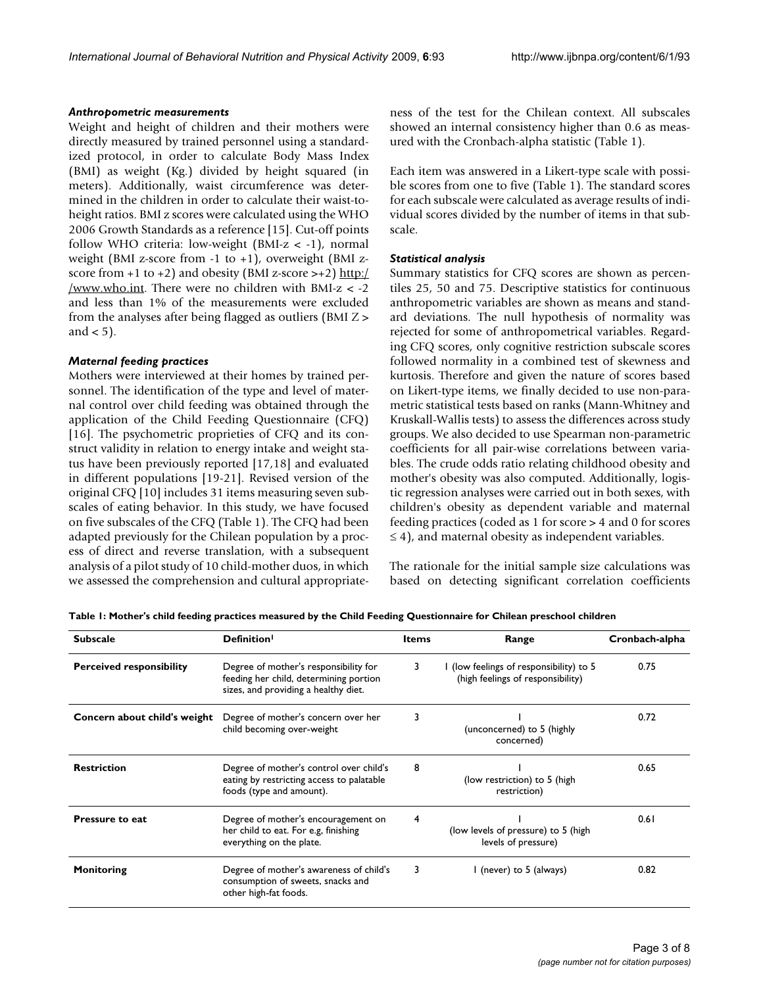#### *Anthropometric measurements*

Weight and height of children and their mothers were directly measured by trained personnel using a standardized protocol, in order to calculate Body Mass Index (BMI) as weight (Kg.) divided by height squared (in meters). Additionally, waist circumference was determined in the children in order to calculate their waist-toheight ratios. BMI z scores were calculated using the WHO 2006 Growth Standards as a reference [15]. Cut-off points follow WHO criteria: low-weight (BMI- $z < -1$ ), normal weight (BMI z-score from -1 to +1), overweight (BMI zscore from  $+1$  to  $+2$ ) and obesity (BMI z-score  $>>2$ ) [http:/](http://www.who.int) [/www.who.int.](http://www.who.int) There were no children with BMI-z < -2 and less than 1% of the measurements were excluded from the analyses after being flagged as outliers (BMI Z > and  $<$  5).

#### *Maternal feeding practices*

Mothers were interviewed at their homes by trained personnel. The identification of the type and level of maternal control over child feeding was obtained through the application of the Child Feeding Questionnaire (CFQ) [16]. The psychometric proprieties of CFQ and its construct validity in relation to energy intake and weight status have been previously reported [17,18] and evaluated in different populations [19-21]. Revised version of the original CFQ [10] includes 31 items measuring seven subscales of eating behavior. In this study, we have focused on five subscales of the CFQ (Table 1). The CFQ had been adapted previously for the Chilean population by a process of direct and reverse translation, with a subsequent analysis of a pilot study of 10 child-mother duos, in which we assessed the comprehension and cultural appropriateness of the test for the Chilean context. All subscales showed an internal consistency higher than 0.6 as measured with the Cronbach-alpha statistic (Table 1).

Each item was answered in a Likert-type scale with possible scores from one to five (Table 1). The standard scores for each subscale were calculated as average results of individual scores divided by the number of items in that subscale.

#### *Statistical analysis*

Summary statistics for CFQ scores are shown as percentiles 25, 50 and 75. Descriptive statistics for continuous anthropometric variables are shown as means and standard deviations. The null hypothesis of normality was rejected for some of anthropometrical variables. Regarding CFQ scores, only cognitive restriction subscale scores followed normality in a combined test of skewness and kurtosis. Therefore and given the nature of scores based on Likert-type items, we finally decided to use non-parametric statistical tests based on ranks (Mann-Whitney and Kruskall-Wallis tests) to assess the differences across study groups. We also decided to use Spearman non-parametric coefficients for all pair-wise correlations between variables. The crude odds ratio relating childhood obesity and mother's obesity was also computed. Additionally, logistic regression analyses were carried out in both sexes, with children's obesity as dependent variable and maternal feeding practices (coded as 1 for score > 4 and 0 for scores  $\leq$  4), and maternal obesity as independent variables.

The rationale for the initial sample size calculations was based on detecting significant correlation coefficients

| <b>Subscale</b>                 | Definition <sup>1</sup>                                                                                                 | <b>Items</b> | Range                                                                        | Cronbach-alpha |
|---------------------------------|-------------------------------------------------------------------------------------------------------------------------|--------------|------------------------------------------------------------------------------|----------------|
| <b>Perceived responsibility</b> | Degree of mother's responsibility for<br>feeding her child, determining portion<br>sizes, and providing a healthy diet. | 3            | I (low feelings of responsibility) to 5<br>(high feelings of responsibility) | 0.75           |
| Concern about child's weight    | Degree of mother's concern over her<br>child becoming over-weight                                                       | 3            | (unconcerned) to 5 (highly<br>concerned)                                     | 0.72           |
| <b>Restriction</b>              | Degree of mother's control over child's<br>eating by restricting access to palatable<br>foods (type and amount).        | 8            | (low restriction) to 5 (high<br>restriction)                                 | 0.65           |
| <b>Pressure to eat</b>          | Degree of mother's encouragement on<br>her child to eat. For e.g, finishing<br>everything on the plate.                 | 4            | (low levels of pressure) to 5 (high<br>levels of pressure)                   | 0.61           |
| Monitoring                      | Degree of mother's awareness of child's<br>consumption of sweets, snacks and<br>other high-fat foods.                   | 3            | $\frac{1}{2}$ (never) to 5 (always)                                          | 0.82           |

**Table 1: Mother's child feeding practices measured by the Child Feeding Questionnaire for Chilean preschool children**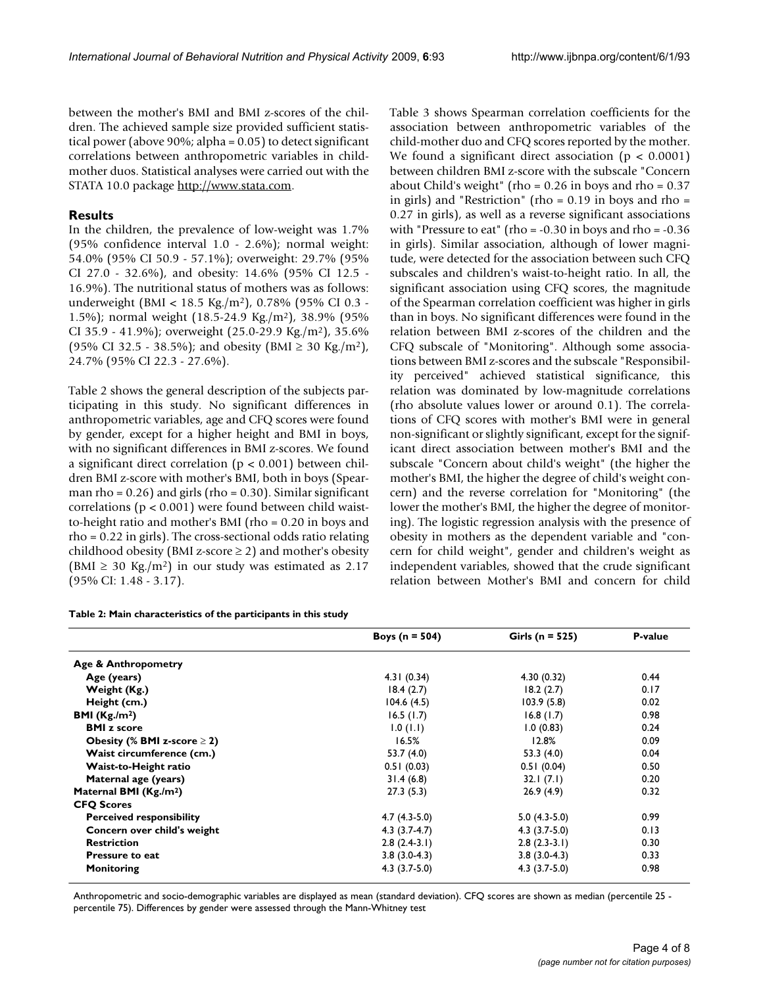between the mother's BMI and BMI z-scores of the children. The achieved sample size provided sufficient statistical power (above 90%; alpha = 0.05) to detect significant correlations between anthropometric variables in childmother duos. Statistical analyses were carried out with the STATA 10.0 package [http://www.stata.com.](http://www.stata.com)

### **Results**

In the children, the prevalence of low-weight was 1.7% (95% confidence interval 1.0 - 2.6%); normal weight: 54.0% (95% CI 50.9 - 57.1%); overweight: 29.7% (95% CI 27.0 - 32.6%), and obesity: 14.6% (95% CI 12.5 - 16.9%). The nutritional status of mothers was as follows: underweight (BMI < 18.5 Kg./m2), 0.78% (95% CI 0.3 - 1.5%); normal weight (18.5-24.9 Kg./m2), 38.9% (95% CI 35.9 - 41.9%); overweight (25.0-29.9 Kg./m2), 35.6% (95% CI 32.5 - 38.5%); and obesity (BMI  $\geq$  30 Kg./m<sup>2</sup>), 24.7% (95% CI 22.3 - 27.6%).

Table 2 shows the general description of the subjects participating in this study. No significant differences in anthropometric variables, age and CFQ scores were found by gender, except for a higher height and BMI in boys, with no significant differences in BMI z-scores. We found a significant direct correlation ( $p < 0.001$ ) between children BMI z-score with mother's BMI, both in boys (Spearman rho =  $0.26$ ) and girls (rho =  $0.30$ ). Similar significant correlations (p < 0.001) were found between child waistto-height ratio and mother's BMI (rho = 0.20 in boys and rho = 0.22 in girls). The cross-sectional odds ratio relating childhood obesity (BMI z-score  $\geq$  2) and mother's obesity (BMI  $\geq$  30 Kg./m<sup>2</sup>) in our study was estimated as 2.17 (95% CI: 1.48 - 3.17).

**Table 2: Main characteristics of the participants in this study**

Table 3 shows Spearman correlation coefficients for the association between anthropometric variables of the child-mother duo and CFQ scores reported by the mother. We found a significant direct association ( $p < 0.0001$ ) between children BMI z-score with the subscale "Concern about Child's weight" (rho = 0.26 in boys and rho = 0.37 in girls) and "Restriction" (rho = 0.19 in boys and rho = 0.27 in girls), as well as a reverse significant associations with "Pressure to eat" (rho = -0.30 in boys and rho = -0.36 in girls). Similar association, although of lower magnitude, were detected for the association between such CFQ subscales and children's waist-to-height ratio. In all, the significant association using CFQ scores, the magnitude of the Spearman correlation coefficient was higher in girls than in boys. No significant differences were found in the relation between BMI z-scores of the children and the CFQ subscale of "Monitoring". Although some associations between BMI z-scores and the subscale "Responsibility perceived" achieved statistical significance, this relation was dominated by low-magnitude correlations (rho absolute values lower or around 0.1). The correlations of CFQ scores with mother's BMI were in general non-significant or slightly significant, except for the significant direct association between mother's BMI and the subscale "Concern about child's weight" (the higher the mother's BMI, the higher the degree of child's weight concern) and the reverse correlation for "Monitoring" (the lower the mother's BMI, the higher the degree of monitoring). The logistic regression analysis with the presence of obesity in mothers as the dependent variable and "concern for child weight", gender and children's weight as independent variables, showed that the crude significant relation between Mother's BMI and concern for child

|                                    | Boys ( $n = 504$ ) | Girls ( $n = 525$ ) | P-value |
|------------------------------------|--------------------|---------------------|---------|
| Age & Anthropometry                |                    |                     |         |
| Age (years)                        | 4.31(0.34)         | 4.30(0.32)          | 0.44    |
| Weight (Kg.)                       | 18.4(2.7)          | 18.2(2.7)           | 0.17    |
| Height (cm.)                       | 104.6(4.5)         | 103.9(5.8)          | 0.02    |
| BMI $(Kg./m^2)$                    | 16.5(1.7)          | 16.8(1.7)           | 0.98    |
| <b>BMI</b> z score                 | 1.0(1.1)           | 1.0(0.83)           | 0.24    |
| Obesity (% BMI z-score $\geq$ 2)   | 16.5%              | 12.8%               | 0.09    |
| Waist circumference (cm.)          | 53.7 $(4.0)$       | 53.3(4.0)           | 0.04    |
| Waist-to-Height ratio              | 0.51(0.03)         | 0.51(0.04)          | 0.50    |
| Maternal age (years)               | 31.4(6.8)          | 32.1(7.1)           | 0.20    |
| Maternal BMI (Kg./m <sup>2</sup> ) | 27.3(5.3)          | 26.9(4.9)           | 0.32    |
| <b>CFQ Scores</b>                  |                    |                     |         |
| <b>Perceived responsibility</b>    | $4.7(4.3-5.0)$     | $5.0(4.3-5.0)$      | 0.99    |
| Concern over child's weight        | $4.3(3.7-4.7)$     | $4.3(3.7-5.0)$      | 0.13    |
| <b>Restriction</b>                 | $2.8(2.4-3.1)$     | $2.8(2.3-3.1)$      | 0.30    |
| <b>Pressure to eat</b>             | $3.8(3.0-4.3)$     | $3.8(3.0-4.3)$      | 0.33    |
| Monitoring                         | $4.3(3.7-5.0)$     | $4.3(3.7-5.0)$      | 0.98    |

Anthropometric and socio-demographic variables are displayed as mean (standard deviation). CFQ scores are shown as median (percentile 25 percentile 75). Differences by gender were assessed through the Mann-Whitney test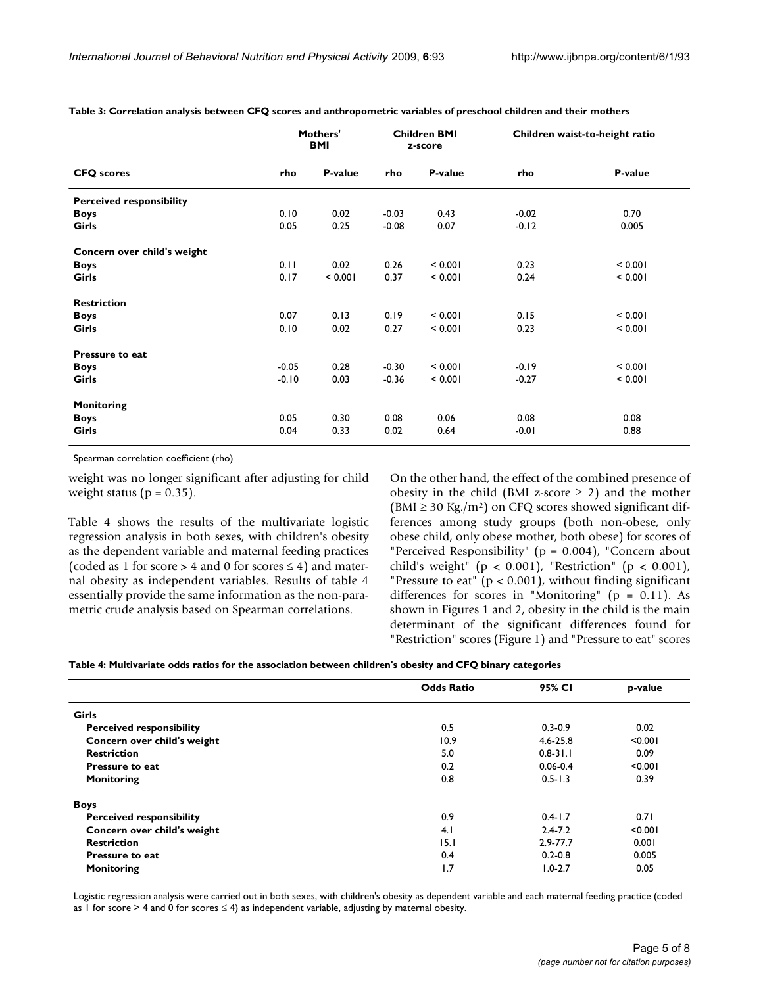| <b>CFQ</b> scores               | Mothers'<br><b>BMI</b> |         | <b>Children BMI</b><br>z-score |         | Children waist-to-height ratio |                |
|---------------------------------|------------------------|---------|--------------------------------|---------|--------------------------------|----------------|
|                                 | rho                    | P-value | rho                            | P-value | rho                            | <b>P-value</b> |
| <b>Perceived responsibility</b> |                        |         |                                |         |                                |                |
| <b>Boys</b>                     | 0.10                   | 0.02    | $-0.03$                        | 0.43    | $-0.02$                        | 0.70           |
| Girls                           | 0.05                   | 0.25    | $-0.08$                        | 0.07    | $-0.12$                        | 0.005          |
| Concern over child's weight     |                        |         |                                |         |                                |                |
| <b>Boys</b>                     | 0.11                   | 0.02    | 0.26                           | < 0.001 | 0.23                           | < 0.001        |
| Girls                           | 0.17                   | < 0.001 | 0.37                           | < 0.001 | 0.24                           | < 0.001        |
| <b>Restriction</b>              |                        |         |                                |         |                                |                |
| <b>Boys</b>                     | 0.07                   | 0.13    | 0.19                           | < 0.001 | 0.15                           | < 0.001        |
| Girls                           | 0.10                   | 0.02    | 0.27                           | < 0.001 | 0.23                           | < 0.001        |
| <b>Pressure to eat</b>          |                        |         |                                |         |                                |                |
| <b>Boys</b>                     | $-0.05$                | 0.28    | $-0.30$                        | < 0.001 | $-0.19$                        | < 0.001        |
| Girls                           | $-0.10$                | 0.03    | $-0.36$                        | < 0.001 | $-0.27$                        | < 0.001        |
| Monitoring                      |                        |         |                                |         |                                |                |
| <b>Boys</b>                     | 0.05                   | 0.30    | 0.08                           | 0.06    | 0.08                           | 0.08           |
| Girls                           | 0.04                   | 0.33    | 0.02                           | 0.64    | $-0.01$                        | 0.88           |

**Table 3: Correlation analysis between CFQ scores and anthropometric variables of preschool children and their mothers**

Spearman correlation coefficient (rho)

weight was no longer significant after adjusting for child weight status ( $p = 0.35$ ).

Table 4 shows the results of the multivariate logistic regression analysis in both sexes, with children's obesity as the dependent variable and maternal feeding practices (coded as 1 for score > 4 and 0 for scores  $\leq$  4) and maternal obesity as independent variables. Results of table 4 essentially provide the same information as the non-parametric crude analysis based on Spearman correlations.

On the other hand, the effect of the combined presence of obesity in the child (BMI z-score  $\geq$  2) and the mother  $(BMI \geq 30 \text{ kg/m}^2)$  on CFQ scores showed significant differences among study groups (both non-obese, only obese child, only obese mother, both obese) for scores of "Perceived Responsibility" (p = 0.004), "Concern about child's weight" ( $p < 0.001$ ), "Restriction" ( $p < 0.001$ ), "Pressure to eat" ( $p < 0.001$ ), without finding significant differences for scores in "Monitoring" ( $p = 0.11$ ). As shown in Figures 1 and 2, obesity in the child is the main determinant of the significant differences found for "Restriction" scores (Figure 1) and "Pressure to eat" scores

**Table 4: Multivariate odds ratios for the association between children's obesity and CFQ binary categories**

|                                 | <b>Odds Ratio</b> | 95% CI       | p-value |
|---------------------------------|-------------------|--------------|---------|
| <b>Girls</b>                    |                   |              |         |
| <b>Perceived responsibility</b> | 0.5               | $0.3 - 0.9$  | 0.02    |
| Concern over child's weight     | 10.9              | $4.6 - 25.8$ | < 0.001 |
| <b>Restriction</b>              | 5.0               | $0.8 - 31.1$ | 0.09    |
| <b>Pressure to eat</b>          | 0.2               | $0.06 - 0.4$ | < 0.001 |
| <b>Monitoring</b>               | 0.8               | $0.5 - 1.3$  | 0.39    |
| <b>Boys</b>                     |                   |              |         |
| <b>Perceived responsibility</b> | 0.9               | $0.4 - 1.7$  | 0.71    |
| Concern over child's weight     | 4.1               | $2.4 - 7.2$  | < 0.001 |
| <b>Restriction</b>              | 15.1              | $2.9 - 77.7$ | 0.001   |
| <b>Pressure to eat</b>          | 0.4               | $0.2 - 0.8$  | 0.005   |
| Monitoring                      | 1.7               | $1.0 - 2.7$  | 0.05    |

Logistic regression analysis were carried out in both sexes, with children's obesity as dependent variable and each maternal feeding practice (coded as 1 for score > 4 and 0 for scores  $\leq 4$ ) as independent variable, adjusting by maternal obesity.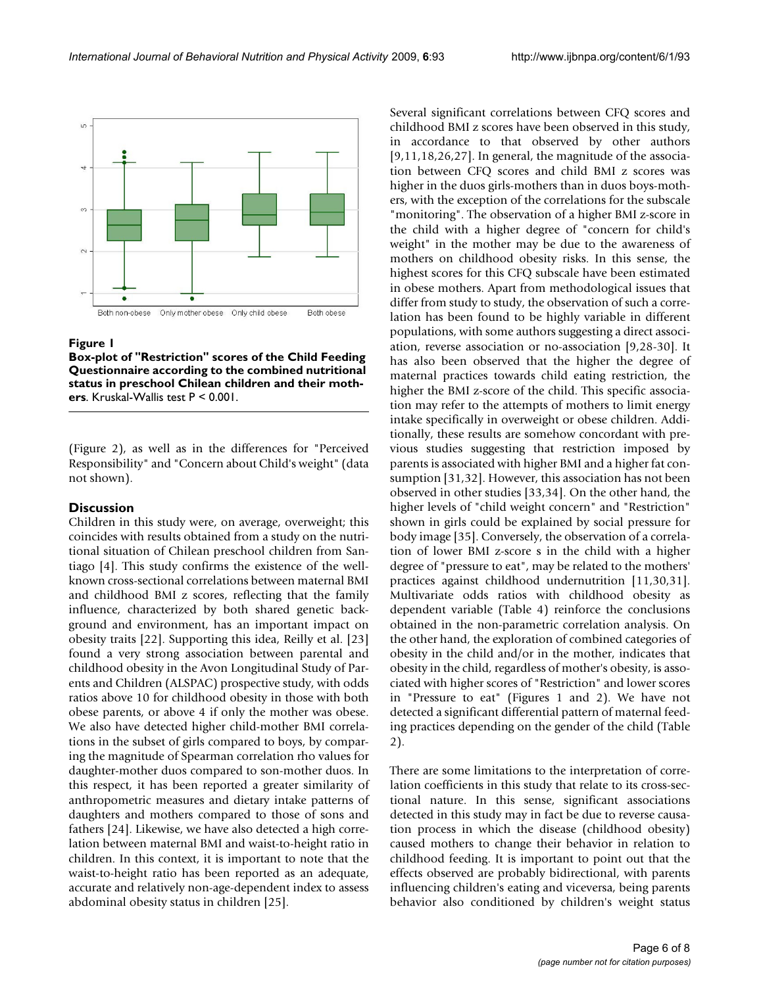

Figure 1

**Box-plot of "Restriction" scores of the Child Feeding Questionnaire according to the combined nutritional status in preschool Chilean children and their mothers**. Kruskal-Wallis test P < 0.001.

(Figure 2), as well as in the differences for "Perceived Responsibility" and "Concern about Child's weight" (data not shown).

#### **Discussion**

Children in this study were, on average, overweight; this coincides with results obtained from a study on the nutritional situation of Chilean preschool children from Santiago [4]. This study confirms the existence of the wellknown cross-sectional correlations between maternal BMI and childhood BMI z scores, reflecting that the family influence, characterized by both shared genetic background and environment, has an important impact on obesity traits [22]. Supporting this idea, Reilly et al. [23] found a very strong association between parental and childhood obesity in the Avon Longitudinal Study of Parents and Children (ALSPAC) prospective study, with odds ratios above 10 for childhood obesity in those with both obese parents, or above 4 if only the mother was obese. We also have detected higher child-mother BMI correlations in the subset of girls compared to boys, by comparing the magnitude of Spearman correlation rho values for daughter-mother duos compared to son-mother duos. In this respect, it has been reported a greater similarity of anthropometric measures and dietary intake patterns of daughters and mothers compared to those of sons and fathers [24]. Likewise, we have also detected a high correlation between maternal BMI and waist-to-height ratio in children. In this context, it is important to note that the waist-to-height ratio has been reported as an adequate, accurate and relatively non-age-dependent index to assess abdominal obesity status in children [25].

Several significant correlations between CFQ scores and childhood BMI z scores have been observed in this study, in accordance to that observed by other authors [9,11,18,26,27]. In general, the magnitude of the association between CFQ scores and child BMI z scores was higher in the duos girls-mothers than in duos boys-mothers, with the exception of the correlations for the subscale "monitoring". The observation of a higher BMI z-score in the child with a higher degree of "concern for child's weight" in the mother may be due to the awareness of mothers on childhood obesity risks. In this sense, the highest scores for this CFQ subscale have been estimated in obese mothers. Apart from methodological issues that differ from study to study, the observation of such a correlation has been found to be highly variable in different populations, with some authors suggesting a direct association, reverse association or no-association [9,28-30]. It has also been observed that the higher the degree of maternal practices towards child eating restriction, the higher the BMI z-score of the child. This specific association may refer to the attempts of mothers to limit energy intake specifically in overweight or obese children. Additionally, these results are somehow concordant with previous studies suggesting that restriction imposed by parents is associated with higher BMI and a higher fat consumption [31,32]. However, this association has not been observed in other studies [33,34]. On the other hand, the higher levels of "child weight concern" and "Restriction" shown in girls could be explained by social pressure for body image [35]. Conversely, the observation of a correlation of lower BMI z-score s in the child with a higher degree of "pressure to eat", may be related to the mothers' practices against childhood undernutrition [11,30,31]. Multivariate odds ratios with childhood obesity as dependent variable (Table 4) reinforce the conclusions obtained in the non-parametric correlation analysis. On the other hand, the exploration of combined categories of obesity in the child and/or in the mother, indicates that obesity in the child, regardless of mother's obesity, is associated with higher scores of "Restriction" and lower scores in "Pressure to eat" (Figures 1 and 2). We have not detected a significant differential pattern of maternal feeding practices depending on the gender of the child (Table 2).

There are some limitations to the interpretation of correlation coefficients in this study that relate to its cross-sectional nature. In this sense, significant associations detected in this study may in fact be due to reverse causation process in which the disease (childhood obesity) caused mothers to change their behavior in relation to childhood feeding. It is important to point out that the effects observed are probably bidirectional, with parents influencing children's eating and viceversa, being parents behavior also conditioned by children's weight status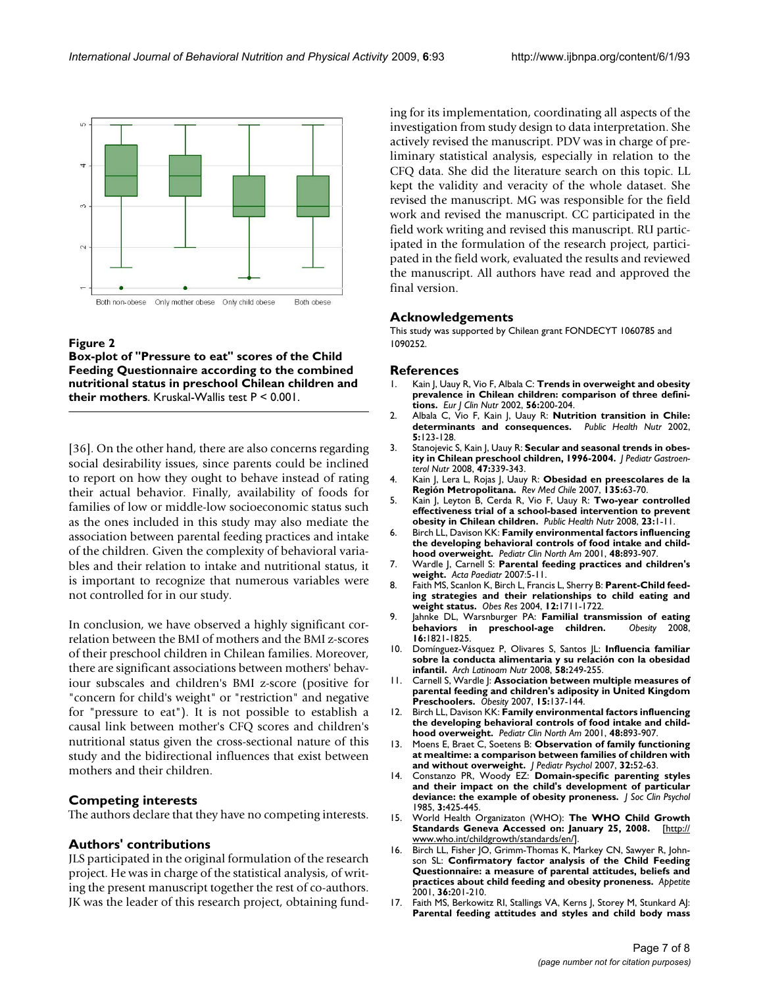

#### Figure 2

**Box-plot of "Pressure to eat" scores of the Child Feeding Questionnaire according to the combined nutritional status in preschool Chilean children and their mothers**. Kruskal-Wallis test P < 0.001.

[36]. On the other hand, there are also concerns regarding social desirability issues, since parents could be inclined to report on how they ought to behave instead of rating their actual behavior. Finally, availability of foods for families of low or middle-low socioeconomic status such as the ones included in this study may also mediate the association between parental feeding practices and intake of the children. Given the complexity of behavioral variables and their relation to intake and nutritional status, it is important to recognize that numerous variables were not controlled for in our study.

In conclusion, we have observed a highly significant correlation between the BMI of mothers and the BMI z-scores of their preschool children in Chilean families. Moreover, there are significant associations between mothers' behaviour subscales and children's BMI z-score (positive for "concern for child's weight" or "restriction" and negative for "pressure to eat"). It is not possible to establish a causal link between mother's CFQ scores and children's nutritional status given the cross-sectional nature of this study and the bidirectional influences that exist between mothers and their children.

#### **Competing interests**

The authors declare that they have no competing interests.

#### **Authors' contributions**

JLS participated in the original formulation of the research project. He was in charge of the statistical analysis, of writing the present manuscript together the rest of co-authors. JK was the leader of this research project, obtaining funding for its implementation, coordinating all aspects of the investigation from study design to data interpretation. She actively revised the manuscript. PDV was in charge of preliminary statistical analysis, especially in relation to the CFQ data. She did the literature search on this topic. LL kept the validity and veracity of the whole dataset. She revised the manuscript. MG was responsible for the field work and revised the manuscript. CC participated in the field work writing and revised this manuscript. RU participated in the formulation of the research project, participated in the field work, evaluated the results and reviewed the manuscript. All authors have read and approved the final version.

#### **Acknowledgements**

This study was supported by Chilean grant FONDECYT 1060785 and 1090252.

#### **References**

- 1. Kain J, Uauy R, Vio F, Albala C: **[Trends in overweight and obesity](http://www.ncbi.nlm.nih.gov/entrez/query.fcgi?cmd=Retrieve&db=PubMed&dopt=Abstract&list_uids=11960294) [prevalence in Chilean children: comparison of three defini](http://www.ncbi.nlm.nih.gov/entrez/query.fcgi?cmd=Retrieve&db=PubMed&dopt=Abstract&list_uids=11960294)[tions.](http://www.ncbi.nlm.nih.gov/entrez/query.fcgi?cmd=Retrieve&db=PubMed&dopt=Abstract&list_uids=11960294)** *Eur J Clin Nutr* 2002, **56:**200-204.
- 2. Albala C, Vio F, Kain J, Uauy R: **[Nutrition transition in Chile:](http://www.ncbi.nlm.nih.gov/entrez/query.fcgi?cmd=Retrieve&db=PubMed&dopt=Abstract&list_uids=12027274) [determinants and consequences.](http://www.ncbi.nlm.nih.gov/entrez/query.fcgi?cmd=Retrieve&db=PubMed&dopt=Abstract&list_uids=12027274)** *Public Health Nutr* 2002, **5:**123-128.
- 3. Stanojevic S, Kain J, Uauy R: **[Secular and seasonal trends in obes](http://www.ncbi.nlm.nih.gov/entrez/query.fcgi?cmd=Retrieve&db=PubMed&dopt=Abstract&list_uids=18728531)[ity in Chilean preschool children, 1996-2004.](http://www.ncbi.nlm.nih.gov/entrez/query.fcgi?cmd=Retrieve&db=PubMed&dopt=Abstract&list_uids=18728531)** *J Pediatr Gastroenterol Nutr* 2008, **47:**339-343.
- 4. Kain J, Lera L, Rojas J, Uauy R: **[Obesidad en preescolares de la](http://www.ncbi.nlm.nih.gov/entrez/query.fcgi?cmd=Retrieve&db=PubMed&dopt=Abstract&list_uids=17369985) [Región Metropolitana.](http://www.ncbi.nlm.nih.gov/entrez/query.fcgi?cmd=Retrieve&db=PubMed&dopt=Abstract&list_uids=17369985)** *Rev Med Chile* 2007, **135:**63-70.
- 5. Kain J, Leyton B, Cerda R, Vio F, Uauy R: **Two-year controlled effectiveness trial of a school-based intervention to prevent obesity in Chilean children.** *Public Health Nutr* 2008, **23:**1-11.
- 6. Birch LL, Davison KK: **[Family environmental factors influencing](http://www.ncbi.nlm.nih.gov/entrez/query.fcgi?cmd=Retrieve&db=PubMed&dopt=Abstract&list_uids=11494642) [the developing behavioral controls of food intake and child](http://www.ncbi.nlm.nih.gov/entrez/query.fcgi?cmd=Retrieve&db=PubMed&dopt=Abstract&list_uids=11494642)[hood overweight.](http://www.ncbi.nlm.nih.gov/entrez/query.fcgi?cmd=Retrieve&db=PubMed&dopt=Abstract&list_uids=11494642)** *Pediatr Clin North Am* 2001, **48:**893-907.
- 7. Wardle J, Carnell S: **[Parental feeding practices and children's](http://www.ncbi.nlm.nih.gov/entrez/query.fcgi?cmd=Retrieve&db=PubMed&dopt=Abstract&list_uids=18052998) [weight.](http://www.ncbi.nlm.nih.gov/entrez/query.fcgi?cmd=Retrieve&db=PubMed&dopt=Abstract&list_uids=18052998)** *Acta Paediatr* 2007:5-11.
- 8. Faith MS, Scanlon K, Birch L, Francis L, Sherry B: **[Parent-Child feed](http://www.ncbi.nlm.nih.gov/entrez/query.fcgi?cmd=Retrieve&db=PubMed&dopt=Abstract&list_uids=15601964)[ing strategies and their relationships to child eating and](http://www.ncbi.nlm.nih.gov/entrez/query.fcgi?cmd=Retrieve&db=PubMed&dopt=Abstract&list_uids=15601964) [weight status.](http://www.ncbi.nlm.nih.gov/entrez/query.fcgi?cmd=Retrieve&db=PubMed&dopt=Abstract&list_uids=15601964)** *Obes Res* 2004, **12:**1711-1722.
- 9. Jahnke DL, Warsnburger PA: **[Familial transmission of eating](http://www.ncbi.nlm.nih.gov/entrez/query.fcgi?cmd=Retrieve&db=PubMed&dopt=Abstract&list_uids=18483480) [behaviors in preschool-age children.](http://www.ncbi.nlm.nih.gov/entrez/query.fcgi?cmd=Retrieve&db=PubMed&dopt=Abstract&list_uids=18483480)** *Obesity* 2008, **16:**1821-1825.
- 10. Domínguez-Vásquez P, Olivares S, Santos JL: **[Influencia familiar](http://www.ncbi.nlm.nih.gov/entrez/query.fcgi?cmd=Retrieve&db=PubMed&dopt=Abstract&list_uids=19137987) [sobre la conducta alimentaria y su relación con la obesidad](http://www.ncbi.nlm.nih.gov/entrez/query.fcgi?cmd=Retrieve&db=PubMed&dopt=Abstract&list_uids=19137987) [infantil.](http://www.ncbi.nlm.nih.gov/entrez/query.fcgi?cmd=Retrieve&db=PubMed&dopt=Abstract&list_uids=19137987)** *Arch Latinoam Nutr* 2008, **58:**249-255.
- 11. Carnell S, Wardle J: **[Association between multiple measures of](http://www.ncbi.nlm.nih.gov/entrez/query.fcgi?cmd=Retrieve&db=PubMed&dopt=Abstract&list_uids=17228041) [parental feeding and children's adiposity in United Kingdom](http://www.ncbi.nlm.nih.gov/entrez/query.fcgi?cmd=Retrieve&db=PubMed&dopt=Abstract&list_uids=17228041) [Preschoolers.](http://www.ncbi.nlm.nih.gov/entrez/query.fcgi?cmd=Retrieve&db=PubMed&dopt=Abstract&list_uids=17228041)** *Obesity* 2007, **15:**137-144.
- 12. Birch LL, Davison KK: **[Family environmental factors influencing](http://www.ncbi.nlm.nih.gov/entrez/query.fcgi?cmd=Retrieve&db=PubMed&dopt=Abstract&list_uids=11494642) [the developing behavioral controls of food intake and child](http://www.ncbi.nlm.nih.gov/entrez/query.fcgi?cmd=Retrieve&db=PubMed&dopt=Abstract&list_uids=11494642)[hood overweight.](http://www.ncbi.nlm.nih.gov/entrez/query.fcgi?cmd=Retrieve&db=PubMed&dopt=Abstract&list_uids=11494642)** *Pediatr Clin North Am* 2001, **48:**893-907.
- 13. Moens E, Braet C, Soetens B: **[Observation of family functioning](http://www.ncbi.nlm.nih.gov/entrez/query.fcgi?cmd=Retrieve&db=PubMed&dopt=Abstract&list_uids=16801324) [at mealtime: a comparison between families of children with](http://www.ncbi.nlm.nih.gov/entrez/query.fcgi?cmd=Retrieve&db=PubMed&dopt=Abstract&list_uids=16801324) [and without overweight.](http://www.ncbi.nlm.nih.gov/entrez/query.fcgi?cmd=Retrieve&db=PubMed&dopt=Abstract&list_uids=16801324)** *J Pediatr Psychol* 2007, **32:**52-63.
- 14. Constanzo PR, Woody EZ: **Domain-specific parenting styles and their impact on the child's development of particular deviance: the example of obesity proneness.** *J Soc Clin Psychol* 1985, **3:**425-445.
- 15. World Health Organizaton (WHO): **The WHO Child Growth Standards Geneva Accessed on: January 25, 2008.** [\[http://](http://www.who.int/childgrowth/standards/en/) [www.who.int/childgrowth/standards/en/\]](http://www.who.int/childgrowth/standards/en/).
- 16. Birch LL, Fisher JO, Grimm-Thomas K, Markey CN, Sawyer R, Johnson SL: **[Confirmatory factor analysis of the Child Feeding](http://www.ncbi.nlm.nih.gov/entrez/query.fcgi?cmd=Retrieve&db=PubMed&dopt=Abstract&list_uids=11358344) [Questionnaire: a measure of parental attitudes, beliefs and](http://www.ncbi.nlm.nih.gov/entrez/query.fcgi?cmd=Retrieve&db=PubMed&dopt=Abstract&list_uids=11358344) [practices about child feeding and obesity proneness.](http://www.ncbi.nlm.nih.gov/entrez/query.fcgi?cmd=Retrieve&db=PubMed&dopt=Abstract&list_uids=11358344)** *Appetite* 2001, **36:**201-210.
- 17. Faith MS, Berkowitz RI, Stallings VA, Kerns J, Storey M, Stunkard AJ: **[Parental feeding attitudes and styles and child body mass](http://www.ncbi.nlm.nih.gov/entrez/query.fcgi?cmd=Retrieve&db=PubMed&dopt=Abstract&list_uids=15466068)**